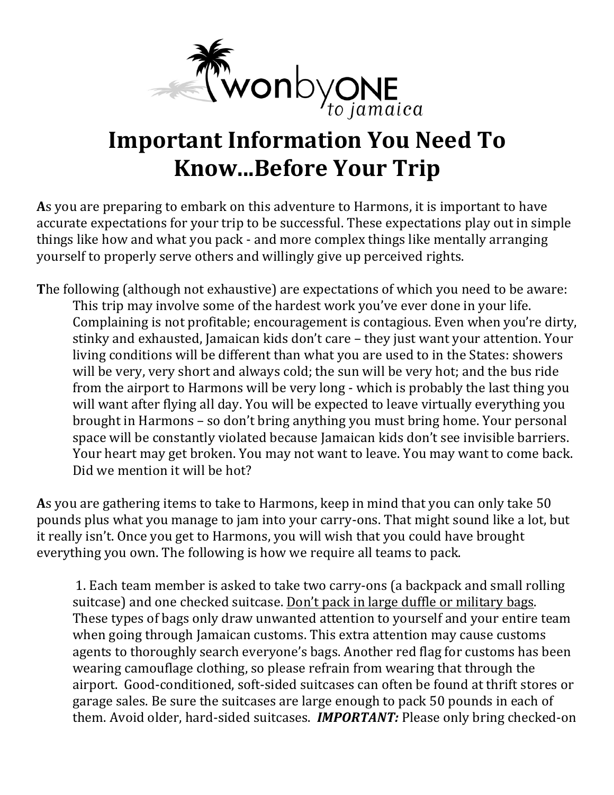

# **Important Information You Need To Know...Before Your Trip**

As you are preparing to embark on this adventure to Harmons, it is important to have accurate expectations for your trip to be successful. These expectations play out in simple things like how and what you pack - and more complex things like mentally arranging yourself to properly serve others and willingly give up perceived rights.

The following (although not exhaustive) are expectations of which you need to be aware: This trip may involve some of the hardest work you've ever done in your life. Complaining is not profitable; encouragement is contagious. Even when you're dirty, stinky and exhausted, Jamaican kids don't care - they just want your attention. Your living conditions will be different than what you are used to in the States: showers will be very, very short and always cold; the sun will be very hot; and the bus ride from the airport to Harmons will be very long - which is probably the last thing you will want after flying all day. You will be expected to leave virtually everything you brought in Harmons - so don't bring anything you must bring home. Your personal space will be constantly violated because Jamaican kids don't see invisible barriers. Your heart may get broken. You may not want to leave. You may want to come back. Did we mention it will be hot?

As you are gathering items to take to Harmons, keep in mind that you can only take 50 pounds plus what you manage to jam into your carry-ons. That might sound like a lot, but it really isn't. Once you get to Harmons, you will wish that you could have brought everything you own. The following is how we require all teams to pack.

1. Each team member is asked to take two carry-ons (a backpack and small rolling suitcase) and one checked suitcase. Don't pack in large duffle or military bags. These types of bags only draw unwanted attention to yourself and your entire team when going through Jamaican customs. This extra attention may cause customs agents to thoroughly search everyone's bags. Another red flag for customs has been wearing camouflage clothing, so please refrain from wearing that through the airport. Good-conditioned, soft-sided suitcases can often be found at thrift stores or garage sales. Be sure the suitcases are large enough to pack 50 pounds in each of them. Avoid older, hard-sided suitcases. *IMPORTANT:* Please only bring checked-on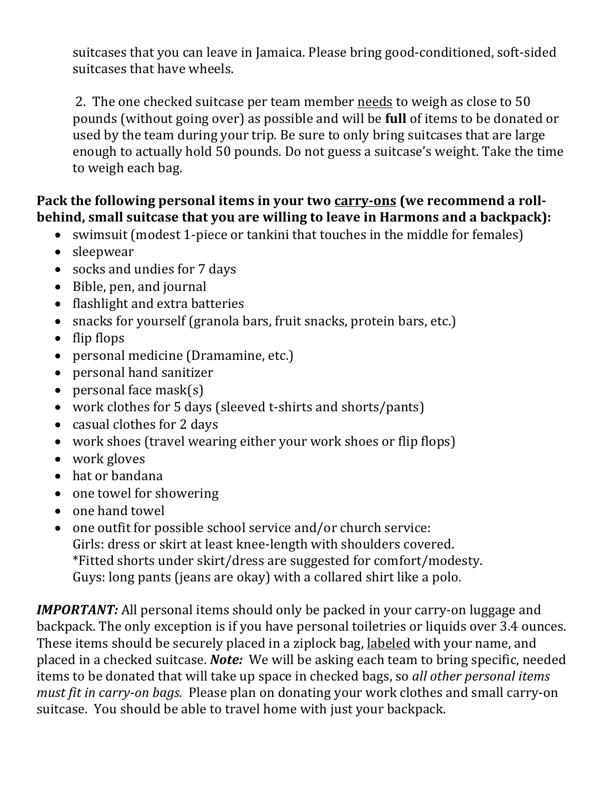suitcases that you can leave in Jamaica. Please bring good-conditioned, soft-sided suitcases that have wheels.

2. The one checked suitcase per team member needs to weigh as close to 50 pounds (without going over) as possible and will be **full** of items to be donated or used by the team during your trip. Be sure to only bring suitcases that are large enough to actually hold 50 pounds. Do not guess a suitcase's weight. Take the time to weigh each bag.

#### Pack the following personal items in your two carry-ons (we recommend a roll**behind, small suitcase that you are willing to leave in Harmons and a backpack):**

- swimsuit (modest 1-piece or tankini that touches in the middle for females)
- sleepwear
- socks and undies for 7 days
- Bible, pen, and journal
- $\bullet$  flashlight and extra batteries
- snacks for yourself (granola bars, fruit snacks, protein bars, etc.)
- $\bullet$  flip flops
- personal medicine (Dramamine, etc.)
- personal hand sanitizer
- personal face  $mask(s)$
- work clothes for 5 days (sleeved t-shirts and shorts/pants)
- casual clothes for 2 days
- work shoes (travel wearing either your work shoes or flip flops)
- work gloves
- hat or bandana
- one towel for showering
- one hand towel
- one outfit for possible school service and/or church service: Girls: dress or skirt at least knee-length with shoulders covered. \*Fitted shorts under skirt/dress are suggested for comfort/modesty. Guys: long pants (jeans are okay) with a collared shirt like a polo.

*IMPORTANT:* All personal items should only be packed in your carry-on luggage and backpack. The only exception is if you have personal toiletries or liquids over 3.4 ounces. These items should be securely placed in a ziplock bag, labeled with your name, and placed in a checked suitcase. *Note:* We will be asking each team to bring specific, needed items to be donated that will take up space in checked bags, so *all other personal items must fit in carry-on bags.* Please plan on donating your work clothes and small carry-on suitcase. You should be able to travel home with just your backpack.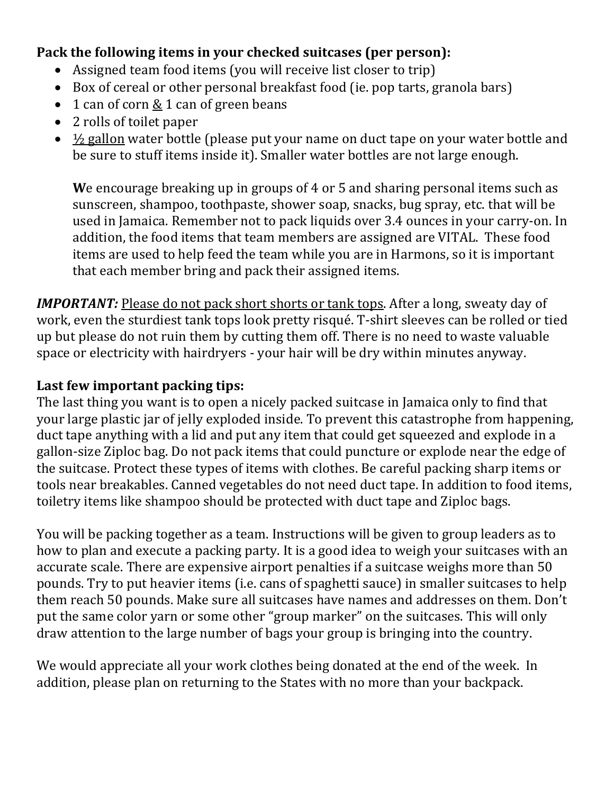#### **Pack the following items in your checked suitcases (per person):**

- Assigned team food items (you will receive list closer to trip)
- Box of cereal or other personal breakfast food (ie. pop tarts, granola bars)
- 1 can of corn  $\underline{8}$  1 can of green beans
- $\bullet$  2 rolls of toilet paper
- $\frac{1}{2}$  gallon water bottle (please put your name on duct tape on your water bottle and be sure to stuff items inside it). Smaller water bottles are not large enough.

**We encourage breaking up in groups of 4 or 5 and sharing personal items such as** sunscreen, shampoo, toothpaste, shower soap, snacks, bug spray, etc. that will be used in Jamaica. Remember not to pack liquids over 3.4 ounces in your carry-on. In addition, the food items that team members are assigned are VITAL. These food items are used to help feed the team while you are in Harmons, so it is important that each member bring and pack their assigned items.

*IMPORTANT:* Please do not pack short shorts or tank tops. After a long, sweaty day of work, even the sturdiest tank tops look pretty risqué. T-shirt sleeves can be rolled or tied up but please do not ruin them by cutting them off. There is no need to waste valuable space or electricity with hairdryers - your hair will be dry within minutes anyway.

#### Last few important packing tips:

The last thing you want is to open a nicely packed suitcase in Jamaica only to find that your large plastic jar of jelly exploded inside. To prevent this catastrophe from happening, duct tape anything with a lid and put any item that could get squeezed and explode in a gallon-size Ziploc bag. Do not pack items that could puncture or explode near the edge of the suitcase. Protect these types of items with clothes. Be careful packing sharp items or tools near breakables. Canned vegetables do not need duct tape. In addition to food items, toiletry items like shampoo should be protected with duct tape and Ziploc bags.

You will be packing together as a team. Instructions will be given to group leaders as to how to plan and execute a packing party. It is a good idea to weigh your suitcases with an accurate scale. There are expensive airport penalties if a suitcase weighs more than 50 pounds. Try to put heavier items (i.e. cans of spaghetti sauce) in smaller suitcases to help them reach 50 pounds. Make sure all suitcases have names and addresses on them. Don't put the same color yarn or some other "group marker" on the suitcases. This will only draw attention to the large number of bags your group is bringing into the country.

We would appreciate all your work clothes being donated at the end of the week. In addition, please plan on returning to the States with no more than your backpack.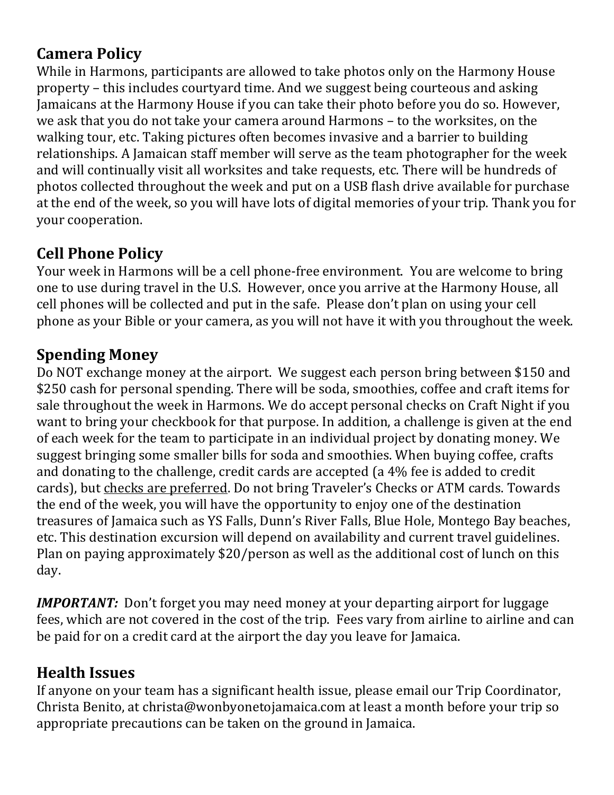# **Camera Policy**

While in Harmons, participants are allowed to take photos only on the Harmony House property – this includes courtyard time. And we suggest being courteous and asking Jamaicans at the Harmony House if you can take their photo before you do so. However, we ask that you do not take your camera around Harmons - to the worksites, on the walking tour, etc. Taking pictures often becomes invasive and a barrier to building relationships. A Jamaican staff member will serve as the team photographer for the week and will continually visit all worksites and take requests, etc. There will be hundreds of photos collected throughout the week and put on a USB flash drive available for purchase at the end of the week, so you will have lots of digital memories of your trip. Thank you for your cooperation.

# **Cell Phone Policy**

Your week in Harmons will be a cell phone-free environment. You are welcome to bring one to use during travel in the U.S. However, once you arrive at the Harmony House, all cell phones will be collected and put in the safe. Please don't plan on using your cell phone as your Bible or your camera, as you will not have it with you throughout the week.

## **Spending Money**

Do NOT exchange money at the airport. We suggest each person bring between \$150 and \$250 cash for personal spending. There will be soda, smoothies, coffee and craft items for sale throughout the week in Harmons. We do accept personal checks on Craft Night if you want to bring your checkbook for that purpose. In addition, a challenge is given at the end of each week for the team to participate in an individual project by donating money. We suggest bringing some smaller bills for soda and smoothies. When buying coffee, crafts and donating to the challenge, credit cards are accepted (a 4% fee is added to credit cards), but checks are preferred. Do not bring Traveler's Checks or ATM cards. Towards the end of the week, you will have the opportunity to enjoy one of the destination treasures of Jamaica such as YS Falls, Dunn's River Falls, Blue Hole, Montego Bay beaches, etc. This destination excursion will depend on availability and current travel guidelines. Plan on paying approximately \$20/person as well as the additional cost of lunch on this day.

*IMPORTANT:* Don't forget you may need money at your departing airport for luggage fees, which are not covered in the cost of the trip. Fees vary from airline to airline and can be paid for on a credit card at the airport the day you leave for Jamaica.

# **Health Issues**

If anyone on your team has a significant health issue, please email our Trip Coordinator, Christa Benito, at christa@wonbyonetojamaica.com at least a month before your trip so appropriate precautions can be taken on the ground in Jamaica.